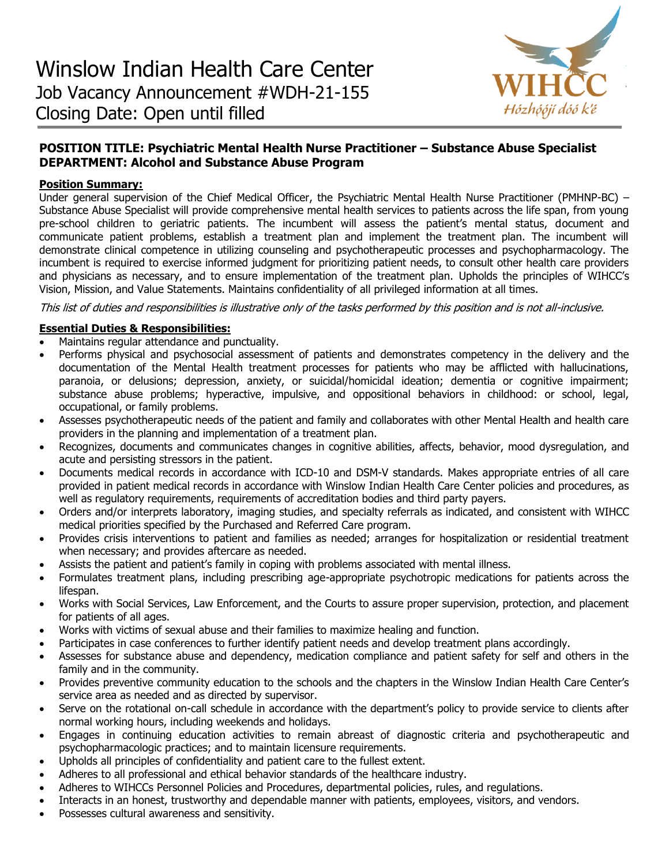

# **POSITION TITLE: Psychiatric Mental Health Nurse Practitioner – Substance Abuse Specialist DEPARTMENT: Alcohol and Substance Abuse Program**

# **Position Summary:**

Under general supervision of the Chief Medical Officer, the Psychiatric Mental Health Nurse Practitioner (PMHNP-BC) – Substance Abuse Specialist will provide comprehensive mental health services to patients across the life span, from young pre-school children to geriatric patients. The incumbent will assess the patient's mental status, document and communicate patient problems, establish a treatment plan and implement the treatment plan. The incumbent will demonstrate clinical competence in utilizing counseling and psychotherapeutic processes and psychopharmacology. The incumbent is required to exercise informed judgment for prioritizing patient needs, to consult other health care providers and physicians as necessary, and to ensure implementation of the treatment plan. Upholds the principles of WIHCC's Vision, Mission, and Value Statements. Maintains confidentiality of all privileged information at all times.

This list of duties and responsibilities is illustrative only of the tasks performed by this position and is not all-inclusive.

# **Essential Duties & Responsibilities:**

- Maintains regular attendance and punctuality.
- Performs physical and psychosocial assessment of patients and demonstrates competency in the delivery and the documentation of the Mental Health treatment processes for patients who may be afflicted with hallucinations, paranoia, or delusions; depression, anxiety, or suicidal/homicidal ideation; dementia or cognitive impairment; substance abuse problems; hyperactive, impulsive, and oppositional behaviors in childhood: or school, legal, occupational, or family problems.
- Assesses psychotherapeutic needs of the patient and family and collaborates with other Mental Health and health care providers in the planning and implementation of a treatment plan.
- Recognizes, documents and communicates changes in cognitive abilities, affects, behavior, mood dysregulation, and acute and persisting stressors in the patient.
- Documents medical records in accordance with ICD-10 and DSM-V standards. Makes appropriate entries of all care provided in patient medical records in accordance with Winslow Indian Health Care Center policies and procedures, as well as regulatory requirements, requirements of accreditation bodies and third party payers.
- Orders and/or interprets laboratory, imaging studies, and specialty referrals as indicated, and consistent with WIHCC medical priorities specified by the Purchased and Referred Care program.
- Provides crisis interventions to patient and families as needed; arranges for hospitalization or residential treatment when necessary; and provides aftercare as needed.
- Assists the patient and patient's family in coping with problems associated with mental illness.
- Formulates treatment plans, including prescribing age-appropriate psychotropic medications for patients across the lifespan.
- Works with Social Services, Law Enforcement, and the Courts to assure proper supervision, protection, and placement for patients of all ages.
- Works with victims of sexual abuse and their families to maximize healing and function.
- Participates in case conferences to further identify patient needs and develop treatment plans accordingly.
- Assesses for substance abuse and dependency, medication compliance and patient safety for self and others in the family and in the community.
- Provides preventive community education to the schools and the chapters in the Winslow Indian Health Care Center's service area as needed and as directed by supervisor.
- Serve on the rotational on-call schedule in accordance with the department's policy to provide service to clients after normal working hours, including weekends and holidays.
- Engages in continuing education activities to remain abreast of diagnostic criteria and psychotherapeutic and psychopharmacologic practices; and to maintain licensure requirements.
- Upholds all principles of confidentiality and patient care to the fullest extent.
- Adheres to all professional and ethical behavior standards of the healthcare industry.
- Adheres to WIHCCs Personnel Policies and Procedures, departmental policies, rules, and regulations.
- Interacts in an honest, trustworthy and dependable manner with patients, employees, visitors, and vendors.
- Possesses cultural awareness and sensitivity.